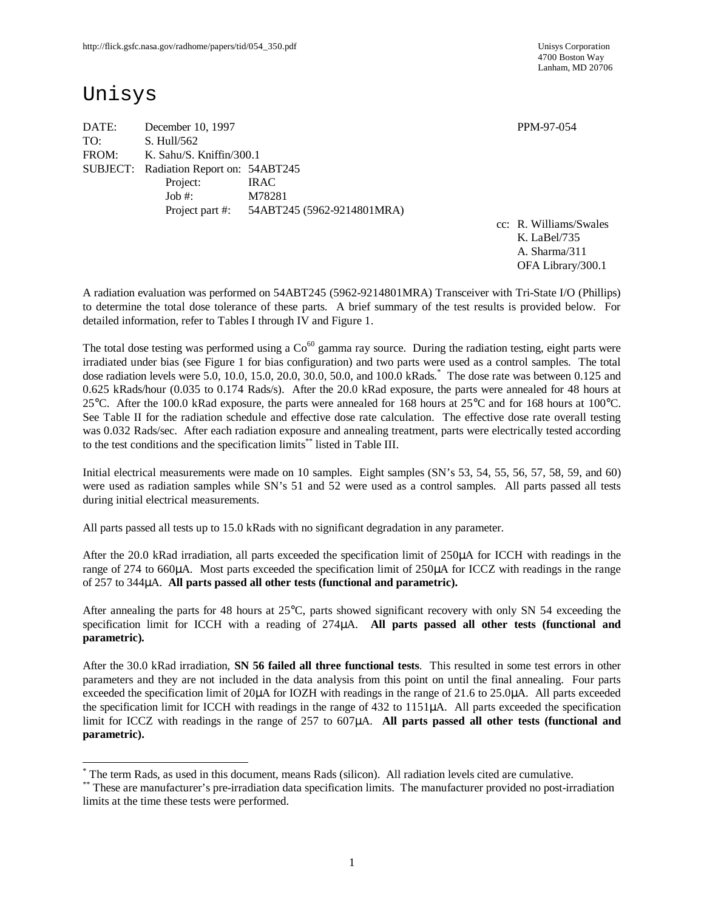4700 Boston Way Lanham, MD 20706

# Unisys

 $\overline{a}$ 

DATE: December 10, 1997 **PPM-97-054** TO: S. Hull/562 FROM: K. Sahu/S. Kniffin/300.1 SUBJECT: Radiation Report on: 54ABT245 Project: IRAC Job #: M78281 Project part #: 54ABT245 (5962-9214801MRA)

cc: R. Williams/Swales K. LaBel/735 A. Sharma/311 OFA Library/300.1

A radiation evaluation was performed on 54ABT245 (5962-9214801MRA) Transceiver with Tri-State I/O (Phillips) to determine the total dose tolerance of these parts. A brief summary of the test results is provided below. For detailed information, refer to Tables I through IV and Figure 1.

The total dose testing was performed using a  $Co<sup>60</sup>$  gamma ray source. During the radiation testing, eight parts were irradiated under bias (see Figure 1 for bias configuration) and two parts were used as a control samples. The total dose radiation levels were 5.0, 10.0, 15.0, 20.0, 30.0, 50.0, and 100.0 kRads. \* The dose rate was between 0.125 and 0.625 kRads/hour (0.035 to 0.174 Rads/s). After the 20.0 kRad exposure, the parts were annealed for 48 hours at 25°C. After the 100.0 kRad exposure, the parts were annealed for 168 hours at 25°C and for 168 hours at 100°C. See Table II for the radiation schedule and effective dose rate calculation. The effective dose rate overall testing was 0.032 Rads/sec. After each radiation exposure and annealing treatment, parts were electrically tested according to the test conditions and the specification limits\*\* listed in Table III.

Initial electrical measurements were made on 10 samples. Eight samples (SN's 53, 54, 55, 56, 57, 58, 59, and 60) were used as radiation samples while SN's 51 and 52 were used as a control samples. All parts passed all tests during initial electrical measurements.

All parts passed all tests up to 15.0 kRads with no significant degradation in any parameter.

After the 20.0 kRad irradiation, all parts exceeded the specification limit of 250µA for ICCH with readings in the range of 274 to 660μA. Most parts exceeded the specification limit of 250μA for ICCZ with readings in the range of 257 to 344μA. **All parts passed all other tests (functional and parametric).**

After annealing the parts for 48 hours at 25°C, parts showed significant recovery with only SN 54 exceeding the specification limit for ICCH with a reading of 274μA. **All parts passed all other tests (functional and parametric).**

After the 30.0 kRad irradiation, **SN 56 failed all three functional tests**. This resulted in some test errors in other parameters and they are not included in the data analysis from this point on until the final annealing. Four parts exceeded the specification limit of 20μA for IOZH with readings in the range of 21.6 to 25.0μA. All parts exceeded the specification limit for ICCH with readings in the range of 432 to 1151μA. All parts exceeded the specification limit for ICCZ with readings in the range of 257 to 607μA. **All parts passed all other tests (functional and parametric).**

<sup>\*</sup> The term Rads, as used in this document, means Rads (silicon). All radiation levels cited are cumulative.

<sup>\*\*</sup> These are manufacturer's pre-irradiation data specification limits. The manufacturer provided no post-irradiation limits at the time these tests were performed.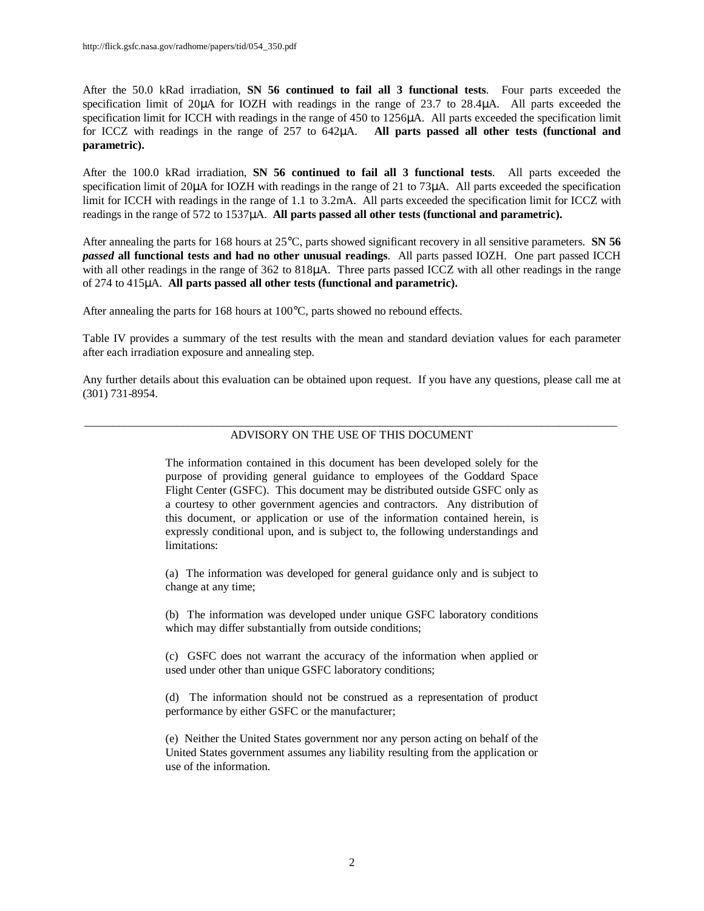After the 50.0 kRad irradiation, **SN 56 continued to fail all 3 functional tests**. Four parts exceeded the specification limit of 20μA for IOZH with readings in the range of 23.7 to 28.4μA. All parts exceeded the specification limit for ICCH with readings in the range of 450 to 1256μA. All parts exceeded the specification limit for ICCZ with readings in the range of 257 to 642μA. **All parts passed all other tests (functional and parametric).**

After the 100.0 kRad irradiation, **SN 56 continued to fail all 3 functional tests**. All parts exceeded the specification limit of 20μA for IOZH with readings in the range of 21 to 73μA. All parts exceeded the specification limit for ICCH with readings in the range of 1.1 to 3.2mA. All parts exceeded the specification limit for ICCZ with readings in the range of 572 to 1537μA. **All parts passed all other tests (functional and parametric).**

After annealing the parts for 168 hours at 25°C, parts showed significant recovery in all sensitive parameters. **SN 56** *passed* **all functional tests and had no other unusual readings**. All parts passed IOZH. One part passed ICCH with all other readings in the range of 362 to 818μA. Three parts passed ICCZ with all other readings in the range of 274 to 415μA. **All parts passed all other tests (functional and parametric).**

After annealing the parts for 168 hours at 100°C, parts showed no rebound effects.

Table IV provides a summary of the test results with the mean and standard deviation values for each parameter after each irradiation exposure and annealing step.

Any further details about this evaluation can be obtained upon request. If you have any questions, please call me at (301) 731-8954.

### \_\_\_\_\_\_\_\_\_\_\_\_\_\_\_\_\_\_\_\_\_\_\_\_\_\_\_\_\_\_\_\_\_\_\_\_\_\_\_\_\_\_\_\_\_\_\_\_\_\_\_\_\_\_\_\_\_\_\_\_\_\_\_\_\_\_\_\_\_\_\_\_\_\_\_\_\_\_\_\_\_\_\_\_\_\_\_\_\_\_\_\_ ADVISORY ON THE USE OF THIS DOCUMENT

The information contained in this document has been developed solely for the purpose of providing general guidance to employees of the Goddard Space Flight Center (GSFC). This document may be distributed outside GSFC only as a courtesy to other government agencies and contractors. Any distribution of this document, or application or use of the information contained herein, is expressly conditional upon, and is subject to, the following understandings and limitations:

(a) The information was developed for general guidance only and is subject to change at any time;

(b) The information was developed under unique GSFC laboratory conditions which may differ substantially from outside conditions;

(c) GSFC does not warrant the accuracy of the information when applied or used under other than unique GSFC laboratory conditions;

(d) The information should not be construed as a representation of product performance by either GSFC or the manufacturer;

(e) Neither the United States government nor any person acting on behalf of the United States government assumes any liability resulting from the application or use of the information.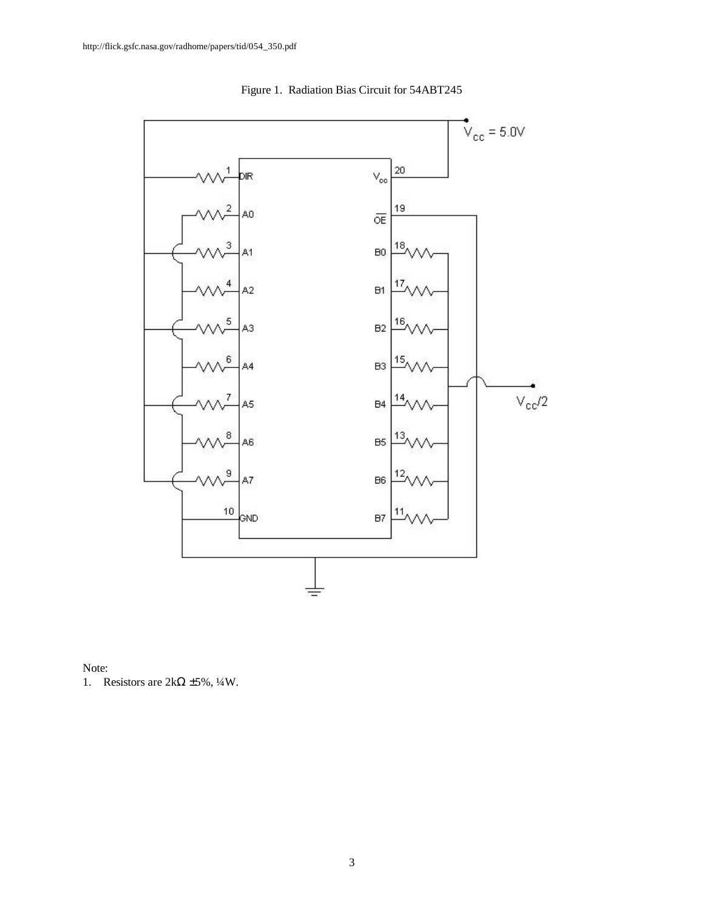

Figure 1. Radiation Bias Circuit for 54ABT245

Note:

1. Resistors are  $2k\Omega \pm 5\%, \frac{1}{4}W$ .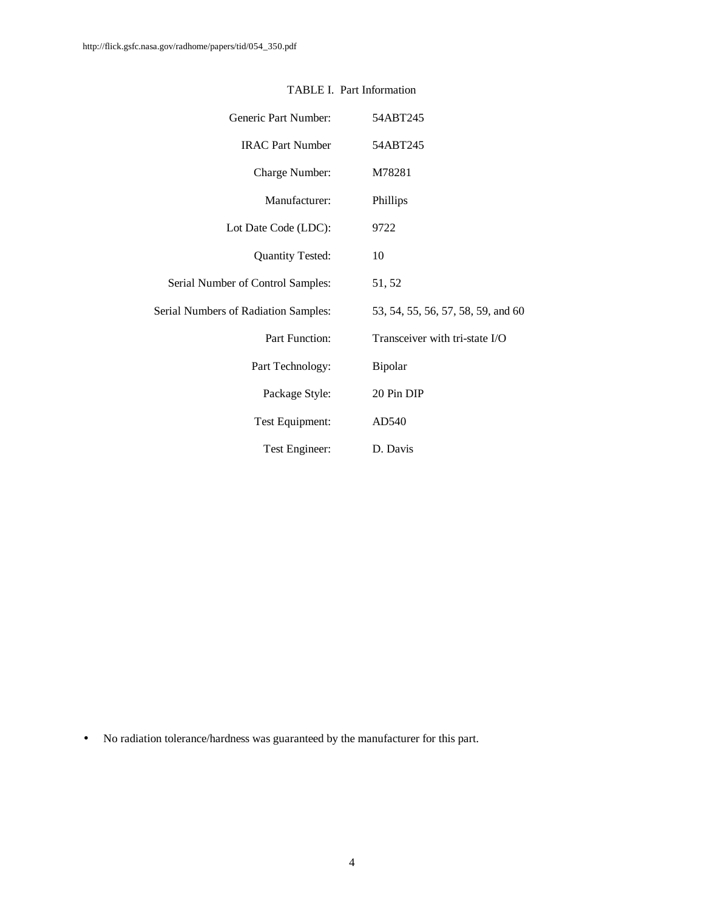| Generic Part Number:                 | 54ABT245                           |
|--------------------------------------|------------------------------------|
| <b>IRAC Part Number</b>              | 54ABT245                           |
| Charge Number:                       | M78281                             |
| Manufacturer:                        | Phillips                           |
| Lot Date Code (LDC):                 | 9722                               |
| <b>Quantity Tested:</b>              | 10                                 |
| Serial Number of Control Samples:    | 51, 52                             |
| Serial Numbers of Radiation Samples: | 53, 54, 55, 56, 57, 58, 59, and 60 |
| Part Function:                       | Transceiver with tri-state I/O     |
| Part Technology:                     | Bipolar                            |
| Package Style:                       | 20 Pin DIP                         |
| Test Equipment:                      | AD540                              |
| Test Engineer:                       | D. Davis                           |

## TABLE I. Part Information

• No radiation tolerance/hardness was guaranteed by the manufacturer for this part.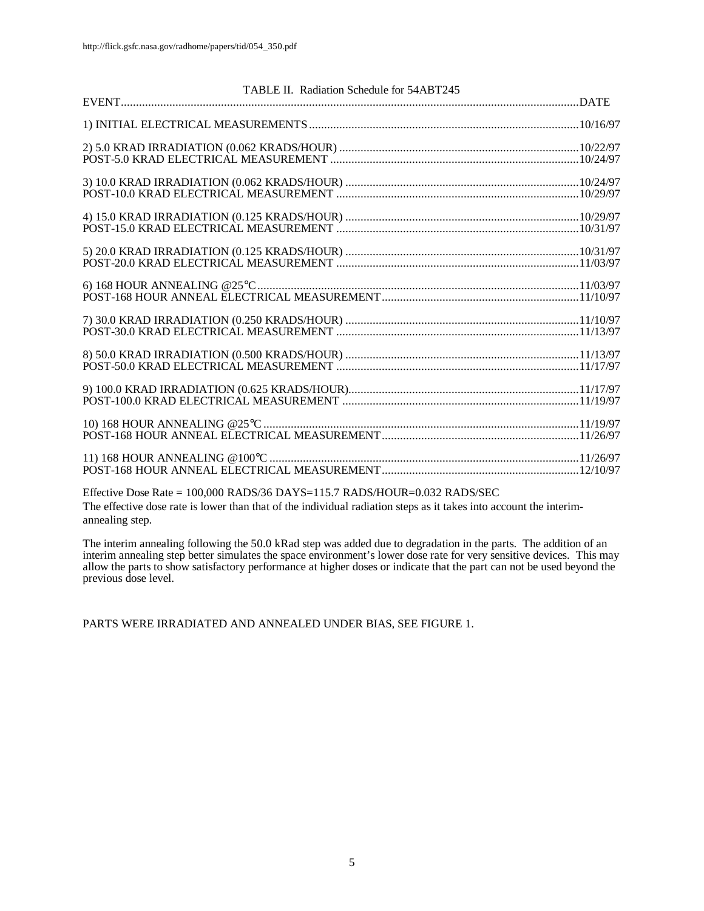| TABLE II. Radiation Schedule for 54ABT245 |  |
|-------------------------------------------|--|
|                                           |  |
|                                           |  |
|                                           |  |
|                                           |  |
|                                           |  |
|                                           |  |
|                                           |  |
|                                           |  |
|                                           |  |
|                                           |  |
|                                           |  |
|                                           |  |
|                                           |  |
|                                           |  |
|                                           |  |
|                                           |  |
|                                           |  |
|                                           |  |
|                                           |  |
|                                           |  |
|                                           |  |
|                                           |  |

Effective Dose Rate = 100,000 RADS/36 DAYS=115.7 RADS/HOUR=0.032 RADS/SEC The effective dose rate is lower than that of the individual radiation steps as it takes into account the interimannealing step.

The interim annealing following the 50.0 kRad step was added due to degradation in the parts. The addition of an interim annealing step better simulates the space environment's lower dose rate for very sensitive devices. This may allow the parts to show satisfactory performance at higher doses or indicate that the part can not be used beyond the previous dose level.

PARTS WERE IRRADIATED AND ANNEALED UNDER BIAS, SEE FIGURE 1.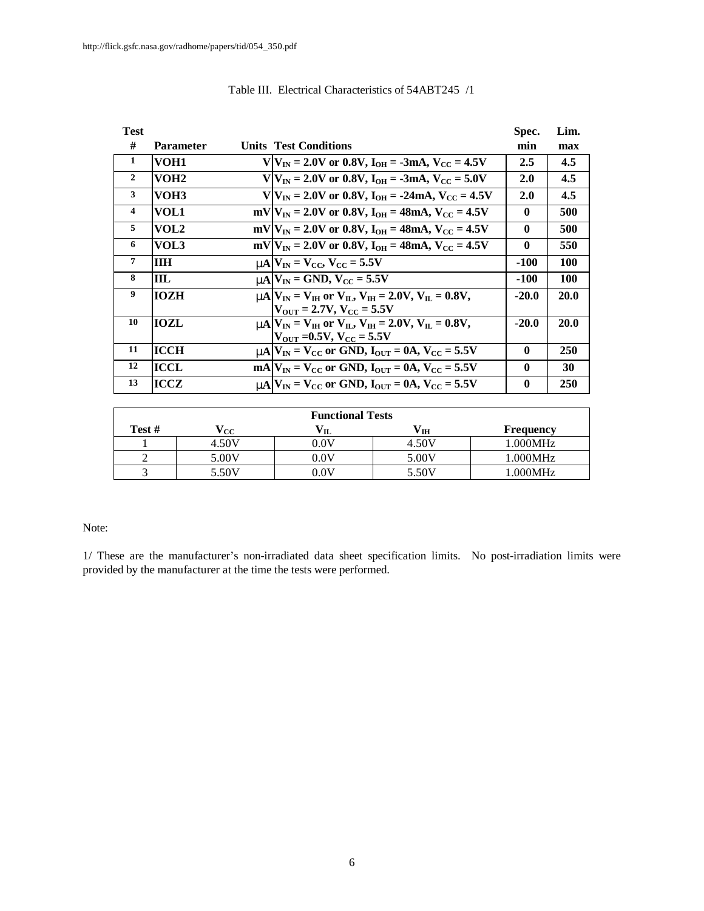| <b>Test</b>    |                  |                                                                                 | Spec.        | Lim.        |
|----------------|------------------|---------------------------------------------------------------------------------|--------------|-------------|
| #              | <b>Parameter</b> | <b>Units Test Conditions</b>                                                    | min          | max         |
| 1              | VOH <sub>1</sub> | $V/V_{IN} = 2.0V$ or 0.8V, $I_{OH} = -3mA$ , $V_{CC} = 4.5V$                    | 2.5          | 4.5         |
| $\overline{2}$ | VOH <sub>2</sub> | $V V_{IN} = 2.0V$ or 0.8V, $I_{OH} = -3mA$ , $V_{CC} = 5.0V$                    | 2.0          | 4.5         |
| 3              | VOH3             | $V V_{IN} = 2.0V$ or 0.8V, $I_{OH} = -24mA$ , $V_{CC} = 4.5V$                   | <b>2.0</b>   | 4.5         |
| $\overline{4}$ | VOL1             | $mV V_{IN} = 2.0V$ or 0.8V, $I_{OH} = 48mA$ , $V_{CC} = 4.5V$                   | $\mathbf{0}$ | 500         |
| 5              | VOL2             | $mV/V_{IN} = 2.0V$ or 0.8V, $I_{OH} = 48mA$ , $V_{CC} = 4.5V$                   | $\mathbf{0}$ | 500         |
| 6              | VOL3             | $mV V_{IN} = 2.0V$ or 0.8V, $I_{OH} = 48mA$ , $V_{CC} = 4.5V$                   | $\mathbf{0}$ | 550         |
| $\overline{7}$ | <b>ITH</b>       | $mN = V_{\text{CC}}$ , $V_{\text{CC}} = 5.5V$                                   | -100         | <b>100</b>  |
| 8              | ШL               | $mA$ $V_{IN}$ = GND, $V_{CC}$ = 5.5V                                            | -100         | <b>100</b>  |
| 9              | <b>IOZH</b>      | $mA VIN = VIH$ or $VII$ , $VIH = 2.0V$ , $VII = 0.8V$ ,                         | $-20.0$      | <b>20.0</b> |
|                |                  | $ V_{\text{OUT}}  = 2.7V, V_{\text{CC}} = 5.5V$                                 |              |             |
| 10             | <b>IOZL</b>      | <b>nm</b> $V_{IN} = V_{IH}$ or $V_{II}$ , $V_{IH} = 2.0 V$ , $V_{II} = 0.8 V$ , | $-20.0$      | 20.0        |
|                |                  | $ V_{\text{OUT}} $ =0.5V, $V_{\text{CC}}$ = 5.5V                                |              |             |
| 11             | <b>ICCH</b>      | $mA$ $V_{IN}$ = $V_{CC}$ or GND, $I_{OUT}$ = 0A, $V_{CC}$ = 5.5V                | $\mathbf{0}$ | <b>250</b>  |
| 12             | ICCL             | $mA V_{IN} = V_{CC}$ or GND, $I_{OUT} = 0A$ , $V_{CC} = 5.5V$                   | $\mathbf{0}$ | 30          |
| 13             | ICCZ             | $mA$ $V_{IN}$ = $V_{CC}$ or GND, $I_{OUT}$ = 0A, $V_{CC}$ = 5.5V                | $\mathbf{0}$ | 250         |

## Table III. Electrical Characteristics of 54ABT245 /1

| <b>Functional Tests</b> |                    |                 |       |                  |  |  |  |  |  |  |  |
|-------------------------|--------------------|-----------------|-------|------------------|--|--|--|--|--|--|--|
| Test #                  | $\rm ^{\prime} cc$ |                 | ' IH  | <b>Frequency</b> |  |  |  |  |  |  |  |
|                         | 4.50V              | $0.0\mathrm{V}$ | 4.50V | 1.000MHz         |  |  |  |  |  |  |  |
|                         | 5.00V              | $0.0\mathrm{V}$ | 5.00V | 1.000MHz         |  |  |  |  |  |  |  |
|                         | 5.50V              | $0.0\mathrm{V}$ | 5.50V | 1.000MHz         |  |  |  |  |  |  |  |

### Note:

1/ These are the manufacturer's non-irradiated data sheet specification limits. No post-irradiation limits were provided by the manufacturer at the time the tests were performed.